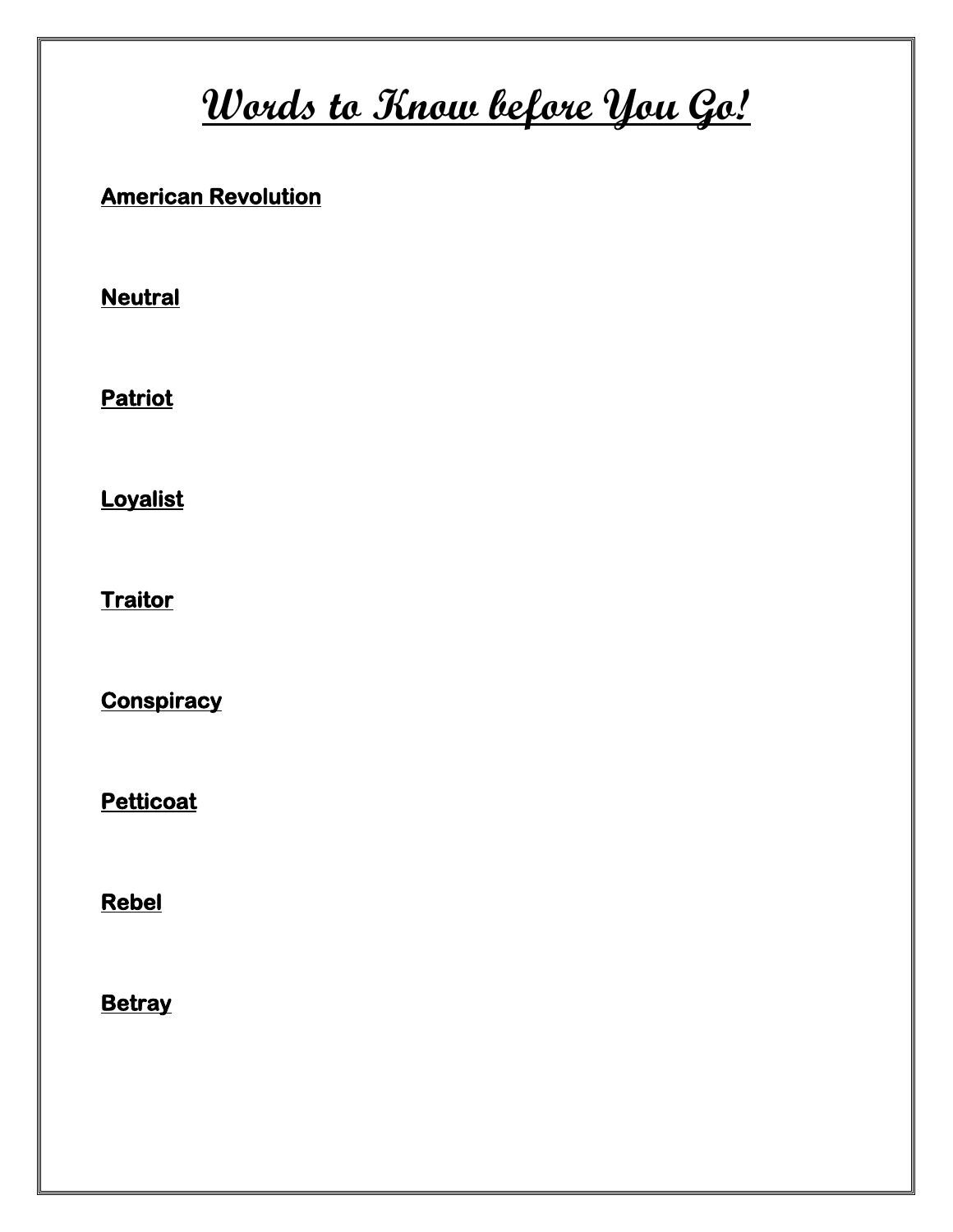# **Words to Know before You Go!**

#### **American Revolution**

**Neutral** 

**Patriot** 

**Loyalist** 

**Traitor** 

**Conspiracy** 

**Petticoat** 

**Rebel** 

**Betray**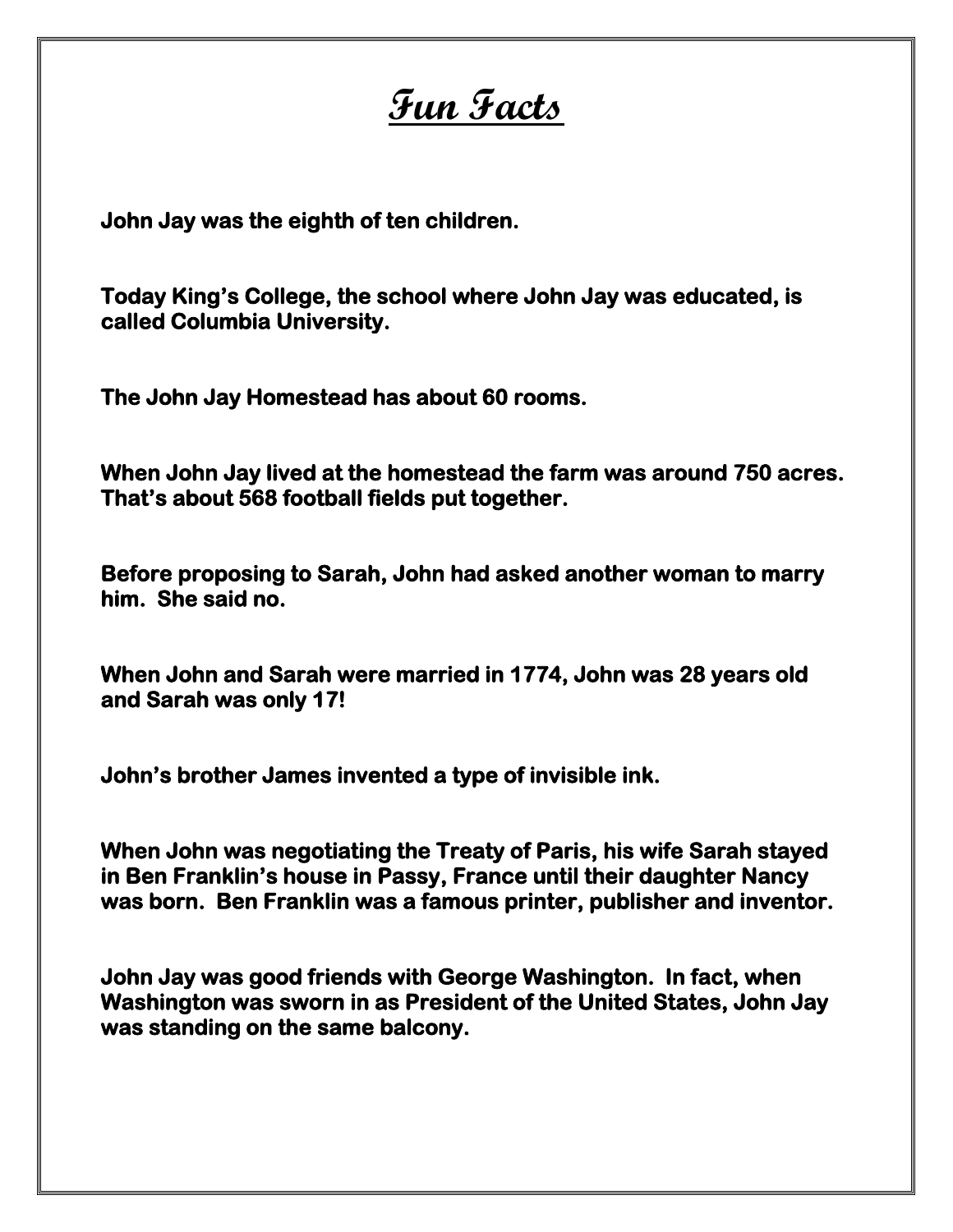# **Fun Facts**

**John Jay was the eighth of ten children.** 

**Today King's College, the school where John Jay was educated, is called Columbia University.** 

**The John Jay Homestead has about 60 rooms.** 

**When John Jay lived at the homestead the farm was around 750 acres. That's about 568 football fields put together.** 

**Before proposing to Sarah, John had asked another woman to marry him. She said no.** 

**When John and Sarah were married in 1774, John was 28 years old and Sarah was only 17!** 

**John's brother James invented a type of invisible ink.** 

**When John was negotiating the Treaty of Paris, his wife Sarah stayed in Ben Franklin's house in Passy, France until their daughter Nancy was born. Ben Franklin was a famous printer, publisher and inventor.** 

**John Jay was good friends with George Washington. In fact, when Washington was sworn in as President of the United States, John Jay was standing on the same balcony.**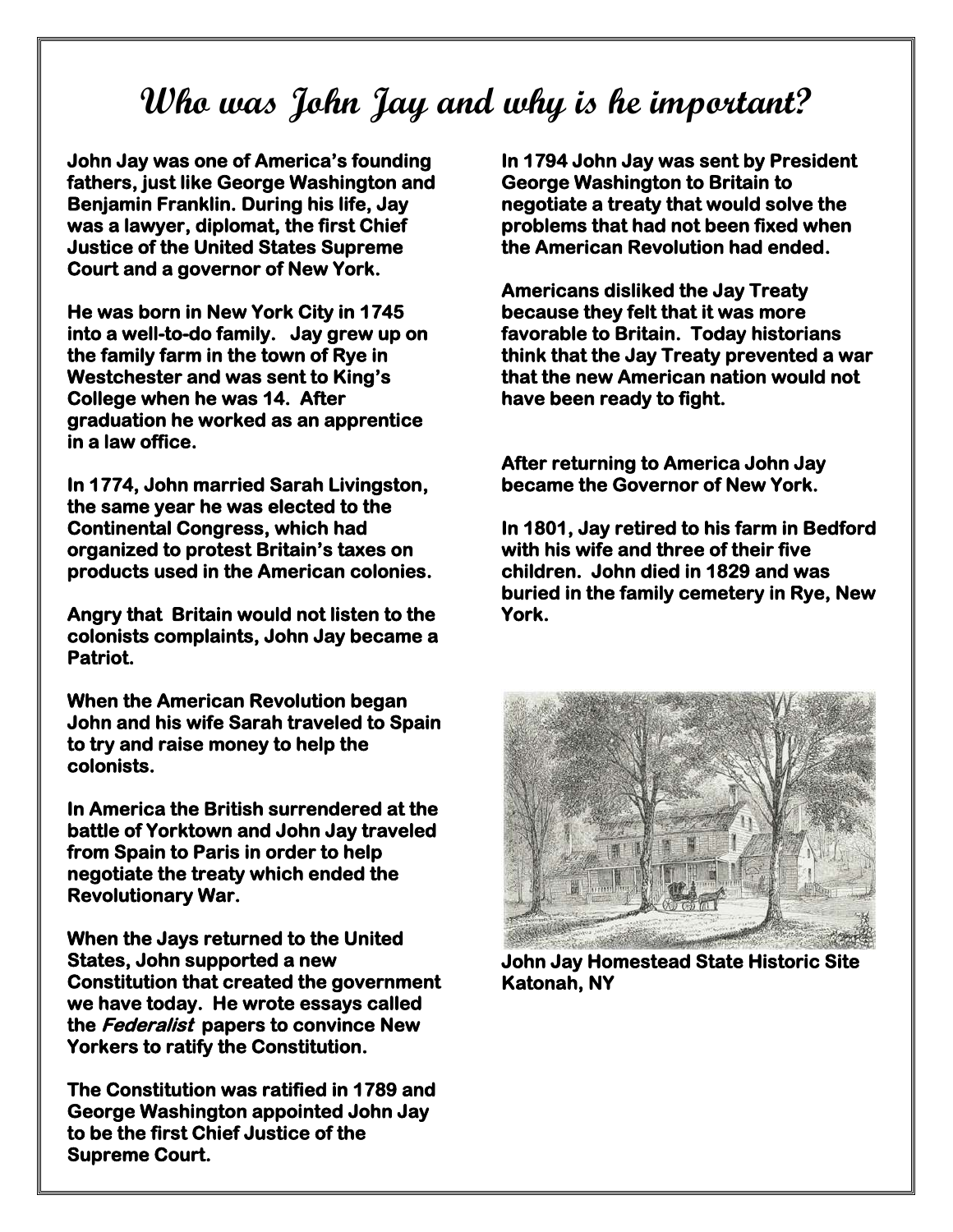### **Who was John Jay and why is he important?**

**John Jay was one of America's founding fathers, just like George Washington and Benjamin Franklin. During his life, Jay was a lawyer, diplomat, the first Chief Justice of the United States Supreme Court and a governor of New York.** 

**He was born in New York City in 1745 into a well-to-do family. Jay grew up on the family farm in the town of Rye in Westchester and was sent to King's College when he was 14. After graduation he worked as an apprentice in a law office.** 

**In 1774, John married Sarah Livingston, the same year he was elected to the Continental Congress, which had organized to protest Britain's taxes on products used in the American colonies.** 

**Angry that Britain would not listen to the colonists complaints, John Jay became a Patriot.** 

**When the American Revolution began John and his wife Sarah traveled to Spain to try and raise money to help the colonists.** 

**In America the British surrendered at the battle of Yorktown and John Jay traveled from Spain to Paris in order to help negotiate the treaty which ended the Revolutionary War.** 

**When the Jays returned to the United States, John supported a new Constitution that created the government we have today. He wrote essays called the Federalist papers to convince New Yorkers to ratify the Constitution.** 

**The Constitution was ratified in 1789 and George Washington appointed John Jay to be the first Chief Justice of the Supreme Court.** 

**In 1794 John Jay was sent by President George Washington to Britain to negotiate a treaty that would solve the problems that had not been fixed when the American Revolution had ended.** 

**Americans disliked the Jay Treaty because they felt that it was more favorable to Britain. Today historians think that the Jay Treaty prevented a war that the new American nation would not have been ready to fight.** 

**After returning to America John Jay became the Governor of New York.** 

**In 1801, Jay retired to his farm in Bedford with his wife and three of their five children. John died in 1829 and was buried in the family cemetery in Rye, New York.** 



**John Jay Homestead State Historic Site Katonah, NY**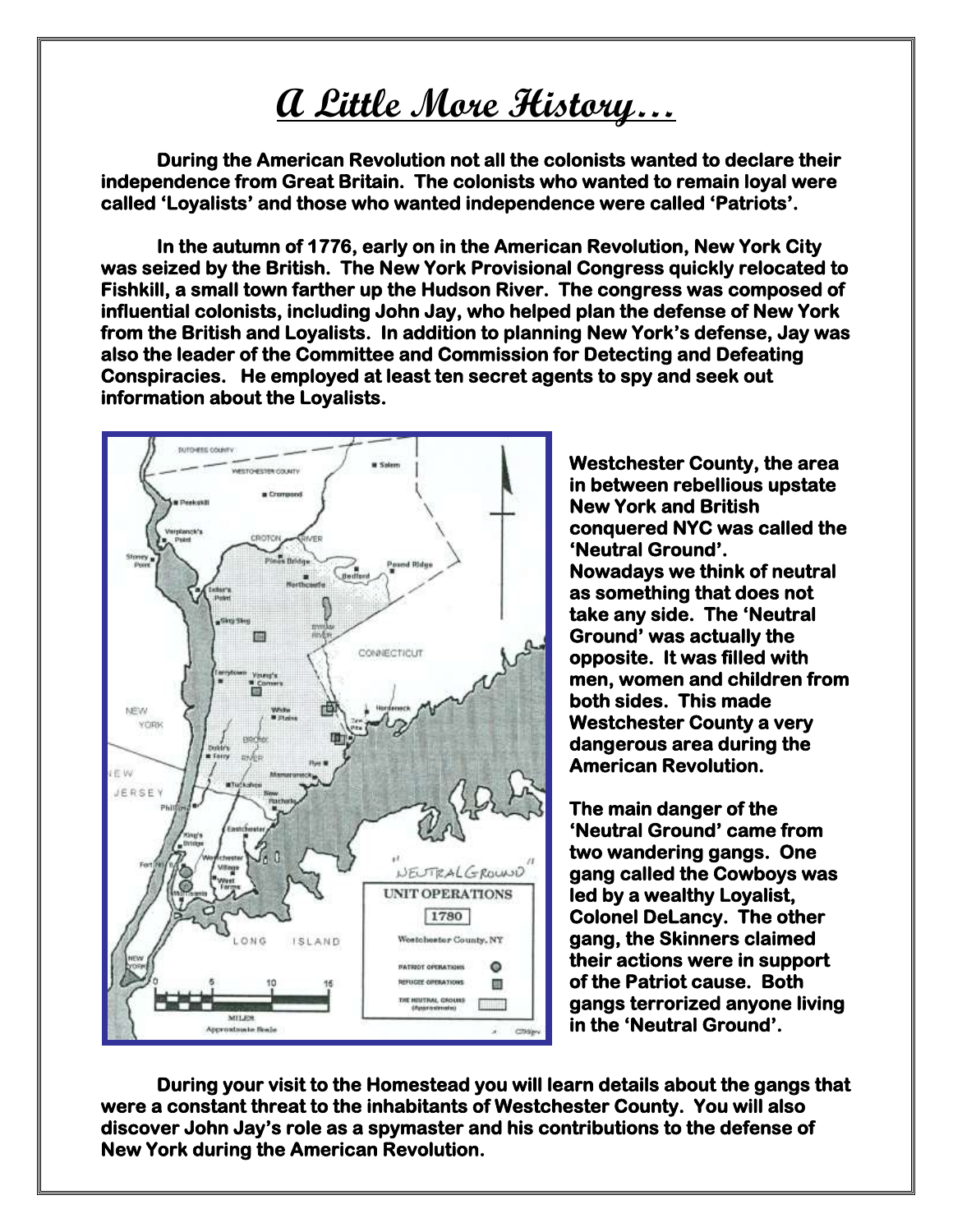## **A Little More History…**

 **During the American Revolution not all the colonists wanted to declare their independence from Great Britain. The colonists who wanted to remain loyal were called 'Loyalists' and those who wanted independence were called 'Patriots'.** 

 **In the autumn of 1776, early on in the American Revolution, New York City was seized by the British. The New York Provisional Congress quickly relocated to Fishkill, a small town farther up the Hudson River. The congress was composed of influential colonists, including John Jay, who helped plan the defense of New York from the British and Loyalists. In addition to planning New York's defense, Jay was also the leader of the Committee and Commission for Detecting and Defeating Conspiracies. He employed at least ten secret agents to spy and seek out information about the Loyalists.** 



**Westchester County, the area in between rebellious upstate New York and British conquered NYC was called the 'Neutral Ground'. Nowadays we think of neutral as something that does not take any side. The 'Neutral Ground' was actually the opposite. It was filled with men, women and children from both sides. This made Westchester County a very dangerous area during the American Revolution.** 

**The main danger of the 'Neutral Ground' came from two wandering gangs. One gang called the Cowboys was led by a wealthy Loyalist, Colonel DeLancy. The other gang, the Skinners claimed their actions were in support of the Patriot cause. Both gangs terrorized anyone living in the 'Neutral Ground'.** 

**During your visit to the Homestead you will learn details about the gangs that were a constant threat to the inhabitants of Westchester County. You will also discover John Jay's role as a spymaster and his contributions to the defense of New York during the American Revolution.**